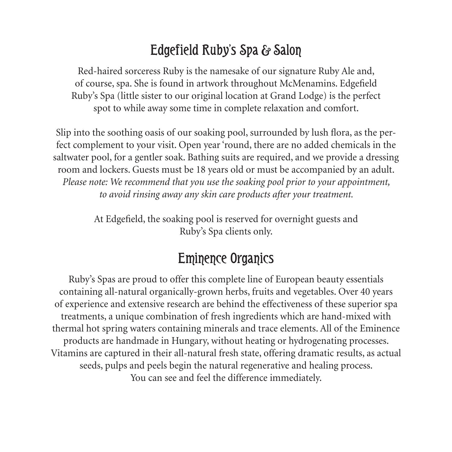#### Edgefield Ruby's Spa & Salon

Red-haired sorceress Ruby is the namesake of our signature Ruby Ale and, of course, spa. She is found in artwork throughout McMenamins. Edgefield Ruby's Spa (little sister to our original location at Grand Lodge) is the perfect spot to while away some time in complete relaxation and comfort.

Slip into the soothing oasis of our soaking pool, surrounded by lush flora, as the perfect complement to your visit. Open year 'round, there are no added chemicals in the saltwater pool, for a gentler soak. Bathing suits are required, and we provide a dressing room and lockers. Guests must be 18 years old or must be accompanied by an adult. *Please note: We recommend that you use the soaking pool prior to your appointment, to avoid rinsing away any skin care products after your treatment.*

> At Edgefield, the soaking pool is reserved for overnight guests and Ruby's Spa clients only.

#### Eminence Organics

Ruby's Spas are proud to offer this complete line of European beauty essentials containing all-natural organically-grown herbs, fruits and vegetables. Over 40 years of experience and extensive research are behind the effectiveness of these superior spa treatments, a unique combination of fresh ingredients which are hand-mixed with thermal hot spring waters containing minerals and trace elements. All of the Eminence products are handmade in Hungary, without heating or hydrogenating processes. Vitamins are captured in their all-natural fresh state, offering dramatic results, as actual seeds, pulps and peels begin the natural regenerative and healing process. You can see and feel the difference immediately.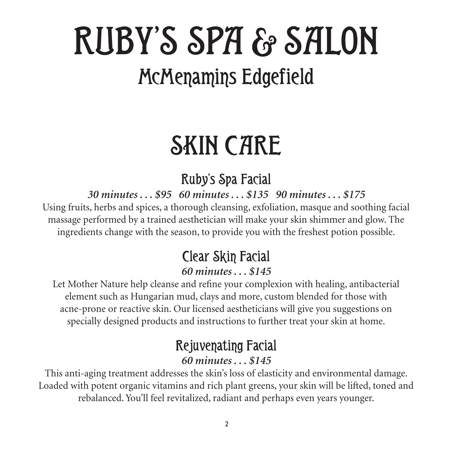## RUBY'S SPA & SALON McMenamins Edgefield

## SKIN CARE

#### Ruby's Spa Facial

*30 minutes . . . \$95 60 minutes . . . \$135 90 minutes . . . \$175*

Using fruits, herbs and spices, a thorough cleansing, exfoliation, masque and soothing facial massage performed by a trained aesthetician will make your skin shimmer and glow. The ingredients change with the season, to provide you with the freshest potion possible.

#### Clear Skin Facial *60 minutes . . . \$145*

Let Mother Nature help cleanse and refine your complexion with healing, antibacterial element such as Hungarian mud, clays and more, custom blended for those with acne-prone or reactive skin. Our licensed aestheticians will give you suggestions on specially designed products and instructions to further treat your skin at home.

#### Rejuvenating Facial

#### *60 minutes . . . \$145*

This anti-aging treatment addresses the skin's loss of elasticity and environmental damage. Loaded with potent organic vitamins and rich plant greens, your skin will be lifted, toned and rebalanced. You'll feel revitalized, radiant and perhaps even years younger.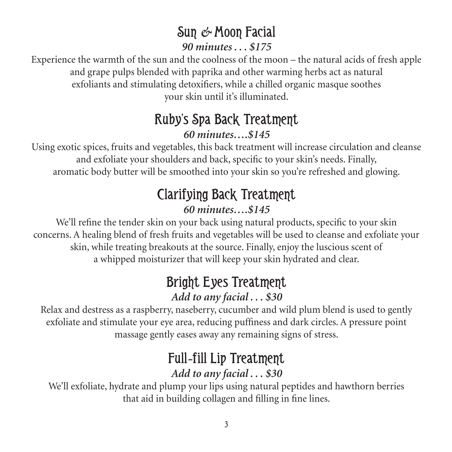#### Sun *&* Moon Facial

*90 minutes . . . \$175*

Experience the warmth of the sun and the coolness of the moon – the natural acids of fresh apple and grape pulps blended with paprika and other warming herbs act as natural exfoliants and stimulating detoxifiers, while a chilled organic masque soothes your skin until it's illuminated.

#### Ruby's Spa Back Treatment *60 minutes….\$145*

Using exotic spices, fruits and vegetables, this back treatment will increase circulation and cleanse and exfoliate your shoulders and back, specific to your skin's needs. Finally, aromatic body butter will be smoothed into your skin so you're refreshed and glowing.

### Clarifying Back Treatment

#### *60 minutes….\$145*

We'll refine the tender skin on your back using natural products, specific to your skin concerns. A healing blend of fresh fruits and vegetables will be used to cleanse and exfoliate your skin, while treating breakouts at the source. Finally, enjoy the luscious scent of a whipped moisturizer that will keep your skin hydrated and clear.

#### Bright Eyes Treatment *Add to any facial . . . \$30*

Relax and destress as a raspberry, naseberry, cucumber and wild plum blend is used to gently exfoliate and stimulate your eye area, reducing puffiness and dark circles. A pressure point massage gently eases away any remaining signs of stress.

#### Full*-*fill Lip Treatment *Add to any facial . . . \$30*

We'll exfoliate, hydrate and plump your lips using natural peptides and hawthorn berries that aid in building collagen and filling in fine lines.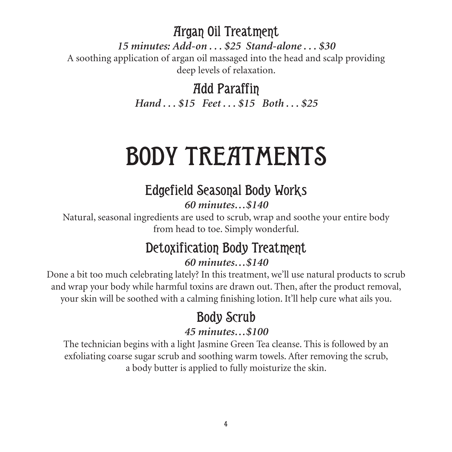Argan Oil Treatment

*15 minutes: Add-on . . . \$25 Stand-alone . . . \$30*

A soothing application of argan oil massaged into the head and scalp providing deep levels of relaxation.

Add Paraffin

*Hand . . . \$15 Feet . . . \$15 Both . . . \$25*

### BODY TREATMENTS

### Edgefield Seasonal Body Works

*60 minutes…\$140*

Natural, seasonal ingredients are used to scrub, wrap and soothe your entire body from head to toe. Simply wonderful.

#### Detoxification Body Treatment

#### *60 minutes…\$140*

Done a bit too much celebrating lately? In this treatment, we'll use natural products to scrub and wrap your body while harmful toxins are drawn out. Then, after the product removal, your skin will be soothed with a calming finishing lotion. It'll help cure what ails you.

#### Body Scrub

#### *45 minutes…\$100*

The technician begins with a light Jasmine Green Tea cleanse. This is followed by an exfoliating coarse sugar scrub and soothing warm towels. After removing the scrub, a body butter is applied to fully moisturize the skin.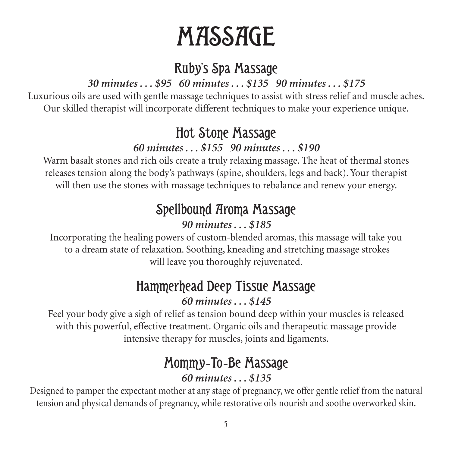### **MASSAGE**

#### Ruby's Spa Massage

#### *30 minutes . . . \$95 60 minutes . . . \$135 90 minutes . . . \$175*

Luxurious oils are used with gentle massage techniques to assist with stress relief and muscle aches. Our skilled therapist will incorporate different techniques to make your experience unique.

#### Hot Stone Massage

#### *60 minutes . . . \$155 90 minutes . . . \$190*

Warm basalt stones and rich oils create a truly relaxing massage. The heat of thermal stones releases tension along the body's pathways (spine, shoulders, legs and back). Your therapist will then use the stones with massage techniques to rebalance and renew your energy.

#### Spellbound Aroma Massage

#### *90 minutes . . . \$185*

Incorporating the healing powers of custom-blended aromas, this massage will take you to a dream state of relaxation. Soothing, kneading and stretching massage strokes will leave you thoroughly rejuvenated.

#### Hammerhead Deep Tissue Massage *60 minutes . . . \$145*

Feel your body give a sigh of relief as tension bound deep within your muscles is released with this powerful, effective treatment. Organic oils and therapeutic massage provide intensive therapy for muscles, joints and ligaments.

### Mommy*-*To*-*Be Massage

#### *60 minutes . . . \$135*

Designed to pamper the expectant mother at any stage of pregnancy, we offer gentle relief from the natural tension and physical demands of pregnancy, while restorative oils nourish and soothe overworked skin.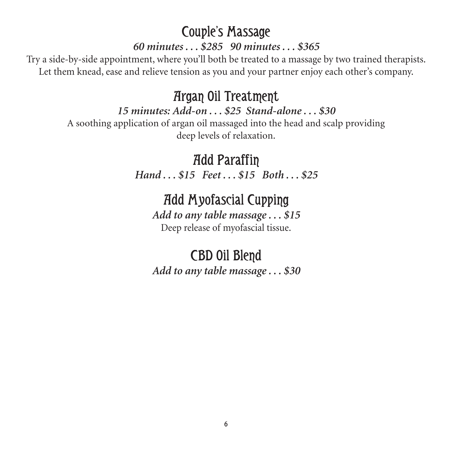#### Couple's Massage

#### *60 minutes . . . \$285 90 minutes . . . \$365*

Try a side-by-side appointment, where you'll both be treated to a massage by two trained therapists. Let them knead, ease and relieve tension as you and your partner enjoy each other's company.

#### Argan Oil Treatment

#### *15 minutes: Add-on . . . \$25 Stand-alone . . . \$30*

A soothing application of argan oil massaged into the head and scalp providing deep levels of relaxation.

> Add Paraffin *Hand . . . \$15 Feet . . . \$15 Both . . . \$25*

#### Add Myofascial Cupping

*Add to any table massage . . . \$15* Deep release of myofascial tissue.

#### CBD Oil Blend *Add to any table massage . . . \$30*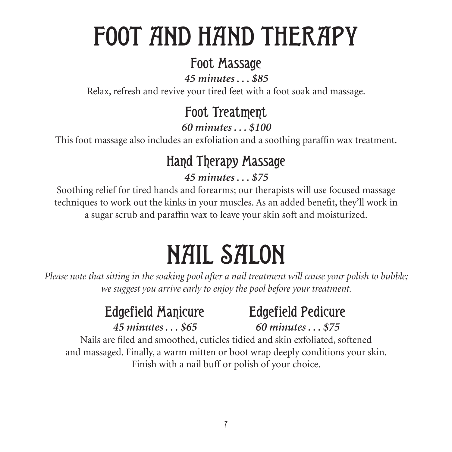### FOOT AND HAND THERAPY

#### Foot Massage

*45 minutes . . . \$85*

Relax, refresh and revive your tired feet with a foot soak and massage.

#### Foot Treatment

*60 minutes . . . \$100*

This foot massage also includes an exfoliation and a soothing paraffin wax treatment.

#### Hand Therapy Massage

#### *45 minutes . . . \$75*

Soothing relief for tired hands and forearms; our therapists will use focused massage techniques to work out the kinks in your muscles. As an added benefit, they'll work in a sugar scrub and paraffin wax to leave your skin soft and moisturized.

## NAIL SALON

*Please note that sitting in the soaking pool after a nail treatment will cause your polish to bubble; we suggest you arrive early to enjoy the pool before your treatment.*

#### Edgefield Manicure Edgefield Pedicure *45 minutes . . . \$65 60 minutes . . . \$75*

Nails are filed and smoothed, cuticles tidied and skin exfoliated, softened and massaged. Finally, a warm mitten or boot wrap deeply conditions your skin. Finish with a nail buff or polish of your choice.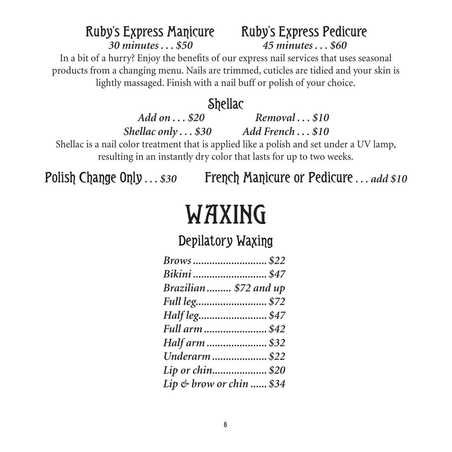#### Ruby's Express Manicure Ruby's Express Pedicure *30 minutes . . . \$50 45 minutes . . . \$60*

In a bit of a hurry? Enjoy the benefits of our express nail services that uses seasonal products from a changing menu. Nails are trimmed, cuticles are tidied and your skin is lightly massaged. Finish with a nail buff or polish of your choice.

#### **Shellac**

*Add on . . . \$20 Removal . . . \$10 Shellac only . . . \$30 Add French . . . \$10* Shellac is a nail color treatment that is applied like a polish and set under a UV lamp, resulting in an instantly dry color that lasts for up to two weeks.

Polish Change Only . . . \$30 French Manicure or Pedicure . . . *add* \$10

### WAXING

#### Depilatory Waxing

| Brows\$22                |  |
|--------------------------|--|
| Bikini \$47              |  |
| Brazilian  \$72 and up   |  |
|                          |  |
|                          |  |
| Full arm \$42            |  |
| Half arm  \$32           |  |
| Underarm  \$22           |  |
| Lip or chin\$20          |  |
| Lip & brow or chin  \$34 |  |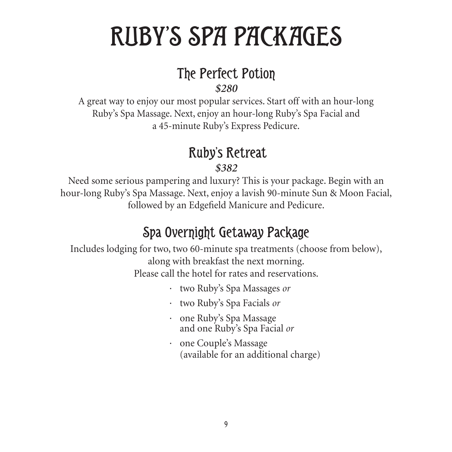### RUBY'S SPA PACKAGES

#### The Perfect Potion

*\$280*

A great way to enjoy our most popular services. Start off with an hour-long Ruby's Spa Massage. Next, enjoy an hour-long Ruby's Spa Facial and a 45-minute Ruby's Express Pedicure.

#### Ruby's Retreat

*\$382* 

Need some serious pampering and luxury? This is your package. Begin with an hour-long Ruby's Spa Massage. Next, enjoy a lavish 90-minute Sun & Moon Facial, followed by an Edgefield Manicure and Pedicure.

#### Spa Overnight Getaway Package

Includes lodging for two, two 60-minute spa treatments (choose from below), along with breakfast the next morning. Please call the hotel for rates and reservations.

- · two Ruby's Spa Massages *or*
- · two Ruby's Spa Facials *or*
- · one Ruby's Spa Massage and one Ruby's Spa Facial *or*
- · one Couple's Massage (available for an additional charge)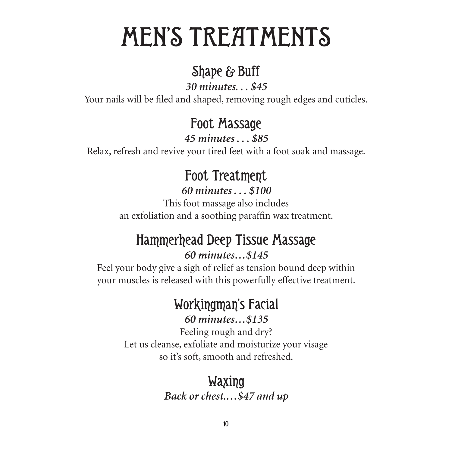### MEN'S TREATMENTS

#### Shape & Buff

*30 minutes. . . \$45*

Your nails will be filed and shaped, removing rough edges and cuticles.

#### Foot Massage

*45 minutes . . . \$85*

Relax, refresh and revive your tired feet with a foot soak and massage.

#### Foot Treatment

*60 minutes . . . \$100*

This foot massage also includes an exfoliation and a soothing paraffin wax treatment.

#### Hammerhead Deep Tissue Massage *60 minutes…\$145*

Feel your body give a sigh of relief as tension bound deep within your muscles is released with this powerfully effective treatment.

#### Workingman's Facial *60 minutes…\$135*

Feeling rough and dry? Let us cleanse, exfoliate and moisturize your visage so it's soft, smooth and refreshed.

#### Waxing *Back or chest.…\$47 and up*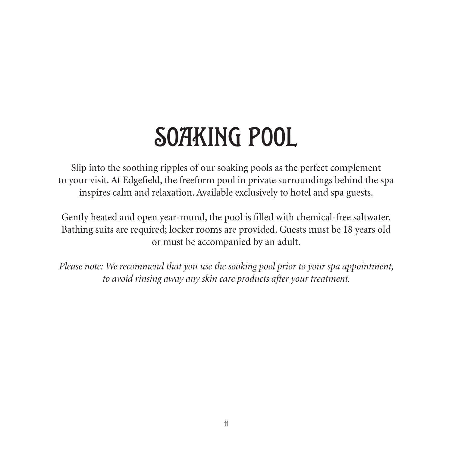### SOAKING POOL

Slip into the soothing ripples of our soaking pools as the perfect complement to your visit. At Edgefield, the freeform pool in private surroundings behind the spa inspires calm and relaxation. Available exclusively to hotel and spa guests.

Gently heated and open year-round, the pool is filled with chemical-free saltwater. Bathing suits are required; locker rooms are provided. Guests must be 18 years old or must be accompanied by an adult.

*Please note: We recommend that you use the soaking pool prior to your spa appointment, to avoid rinsing away any skin care products after your treatment.*